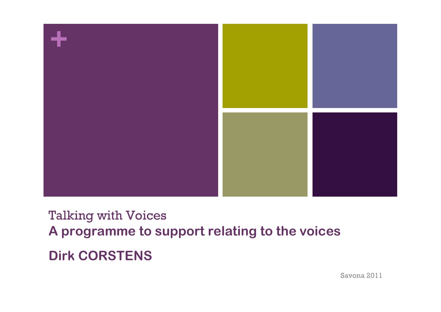

### Talking with Voices **A programme to support relating to the voices Dirk CORSTENS**

Savona 2011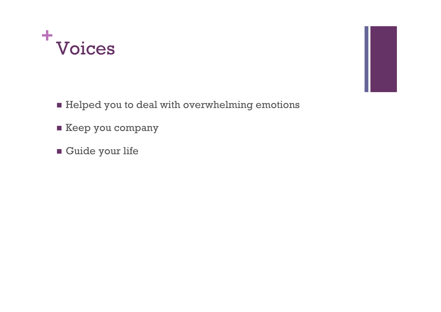



- **Execp you company**
- **Guide your life**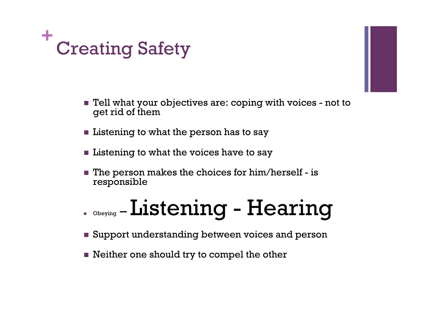

- Tell what your objectives are: coping with voices not to get rid of them
- $\blacksquare$  Listening to what the person has to say
- **Listening to what the voices have to say**
- $\blacksquare$  The person makes the choices for him/herself is responsible

# Obeying – Listening - Hearing

- **Support understanding between voices and person**
- Neither one should try to compel the other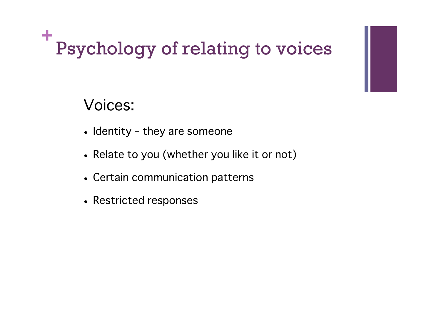#### **+** Psychology of relating to voices

#### Voices:

- Identity they are someone
- Relate to you (whether you like it or not)
- Certain communication patterns
- Restricted responses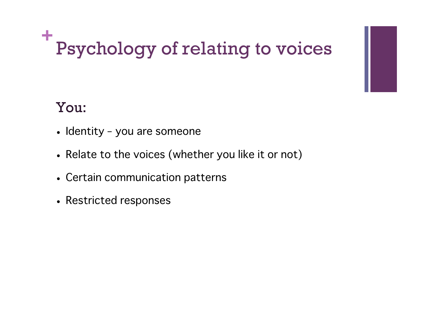#### **+** Psychology of relating to voices

#### You:

- Identity you are someone
- Relate to the voices (whether you like it or not)
- Certain communication patterns
- Restricted responses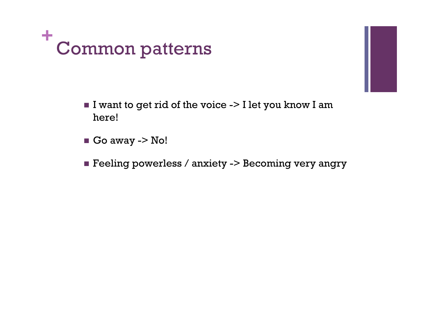

- 
- I want to get rid of the voice  $\sim$  I let you know I am here!
- $\blacksquare$  Go away -> No!
- **Feeling powerless / anxiety -> Becoming very angry**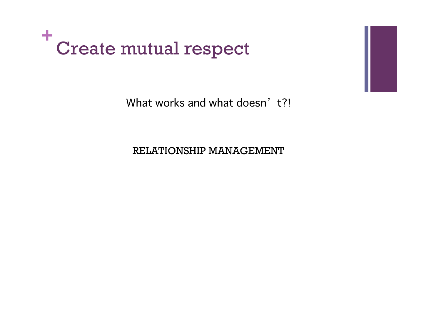

What works and what doesn't?!

RELATIONSHIP MANAGEMENT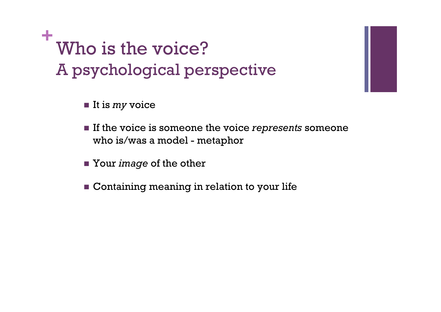**+** Who is the voice? A psychological perspective

- It is *my* voice
- If the voice is someone the voice *represents* someone who is/was a model - metaphor
- Your *image* of the other
- **Containing meaning in relation to your life**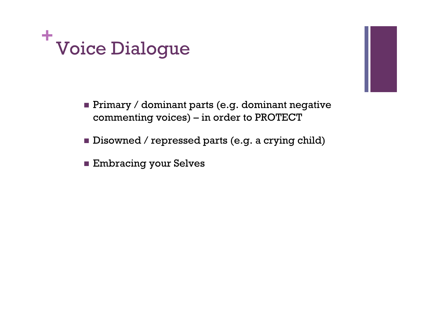

- **Primary / dominant parts (e.g. dominant negative** commenting voices) – in order to PROTECT
- Disowned / repressed parts (e.g. a crying child)
- **Embracing your Selves**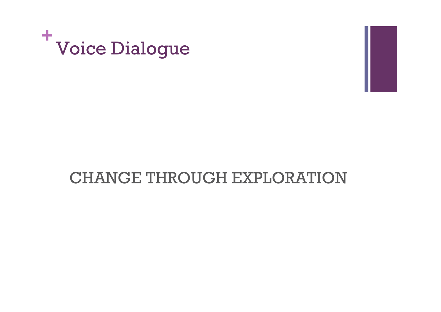

#### CHANGE THROUGH EXPLORATION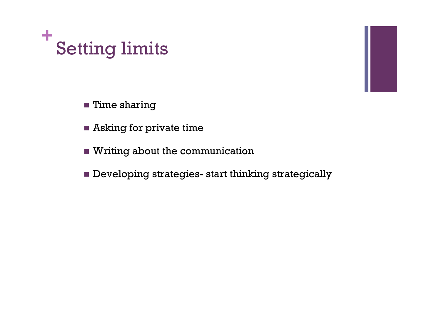



- **Asking for private time**
- Writing about the communication
- **Developing strategies- start thinking strategically**

٠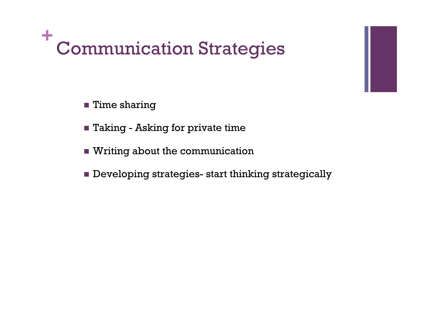#### **+** Communication Strategies

- **Time sharing**
- **Taking Asking for private time**
- Writing about the communication
- **Developing strategies- start thinking strategically**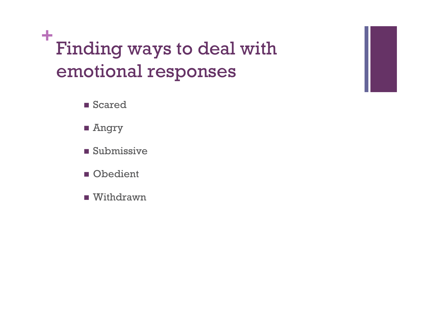**+** Finding ways to deal with emotional responses

- **B** Scared
- **Angry**
- **Submissive**
- **Obedient**
- **Nithdrawn**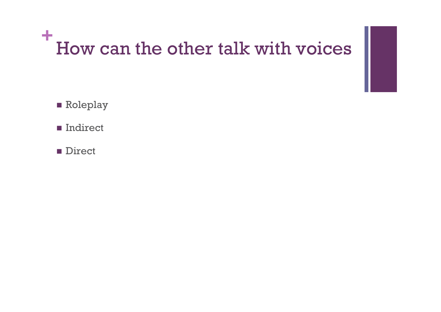#### **+** How can the other talk with voices

- **Roleplay**
- **Indirect**
- **Direct**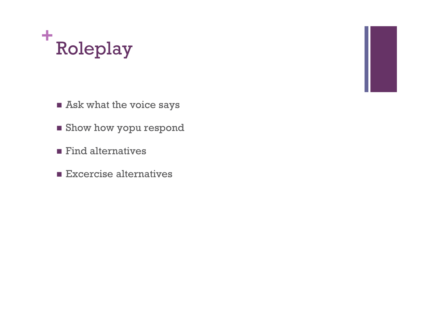#### **+** Roleplay



- **Show how yopu respond**
- $\blacksquare$  Find alternatives
- **Excercise alternatives**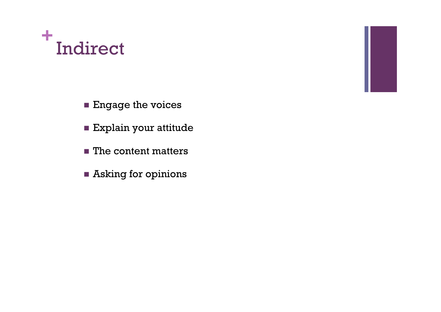#### **+** Indirect



- Explain your attitude
- The content matters
- Asking for opinions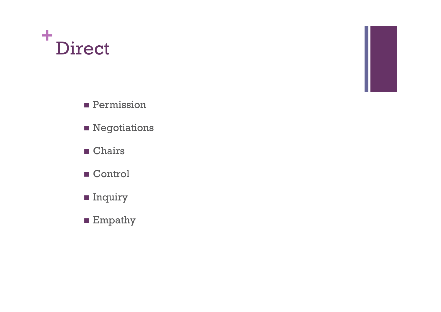#### **+** Direct



- **Permission**
- **Negotiations**
- **Chairs**
- Control
- **Inquiry**
- **Empathy**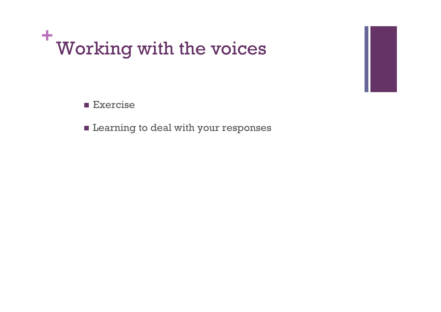

**Exercise** 

**E** Learning to deal with your responses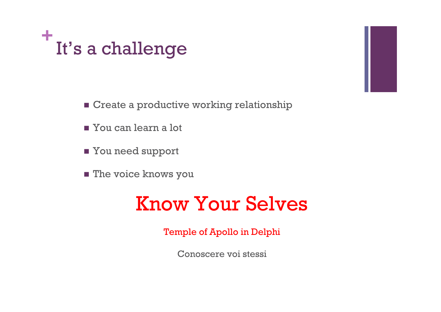



- You can learn a lot
- You need support
- **The voice knows you**

## Know Your Selves

Temple of Apollo in Delphi

Conoscere voi stessi